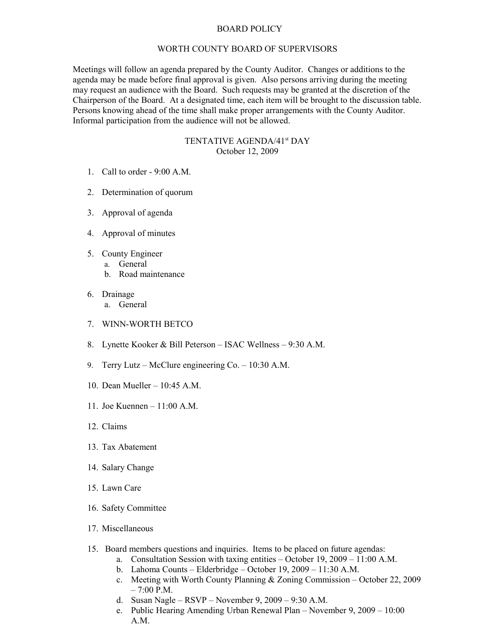## BOARD POLICY

## WORTH COUNTY BOARD OF SUPERVISORS

Meetings will follow an agenda prepared by the County Auditor. Changes or additions to the agenda may be made before final approval is given. Also persons arriving during the meeting may request an audience with the Board. Such requests may be granted at the discretion of the Chairperson of the Board. At a designated time, each item will be brought to the discussion table. Persons knowing ahead of the time shall make proper arrangements with the County Auditor. Informal participation from the audience will not be allowed.

## TENTATIVE AGENDA/41<sup>st</sup> DAY October 12, 2009

- 1. Call to order 9:00 A.M.
- 2. Determination of quorum
- 3. Approval of agenda
- 4. Approval of minutes
- 5. County Engineer
	- a. General
	- b. Road maintenance
- 6. Drainage
	- a. General
- 7. WINN-WORTH BETCO
- 8. Lynette Kooker & Bill Peterson ISAC Wellness 9:30 A.M.
- 9. Terry Lutz McClure engineering Co. 10:30 A.M.
- 10. Dean Mueller 10:45 A.M.
- 11. Joe Kuennen 11:00 A.M.
- 12. Claims
- 13. Tax Abatement
- 14. Salary Change
- 15. Lawn Care
- 16. Safety Committee
- 17. Miscellaneous
- 15. Board members questions and inquiries. Items to be placed on future agendas:
	- a. Consultation Session with taxing entities October 19, 2009 11:00 A.M.
	- b. Lahoma Counts Elderbridge October 19, 2009 11:30 A.M.
	- c. Meeting with Worth County Planning & Zoning Commission October 22, 2009  $-7:00$  P.M.
	- d. Susan Nagle RSVP November 9, 2009 9:30 A.M.
	- e. Public Hearing Amending Urban Renewal Plan November 9, 2009 10:00 A.M.